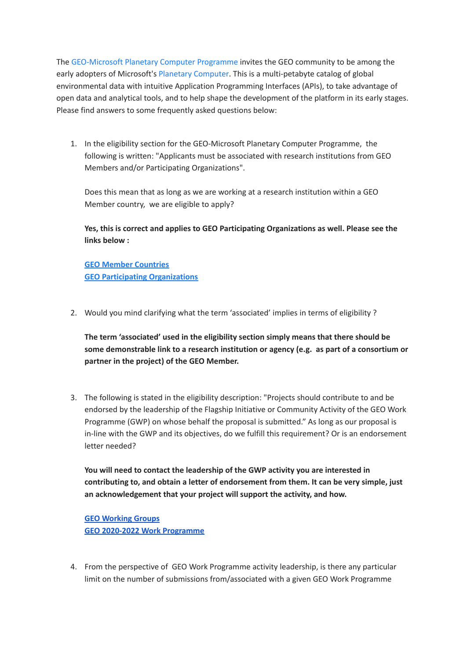The [GEO-Microsoft](https://earthobservations.org/geo_blog_obs.php?id=503) Planetary Computer Programme invites the GEO community to be among the early adopters of Microsoft's Planetary [Computer](https://innovation.microsoft.com/en-us/planetary-computer). This is a multi-petabyte catalog of global environmental data with intuitive Application Programming Interfaces (APIs), to take advantage of open data and analytical tools, and to help shape the development of the platform in its early stages. Please find answers to some frequently asked questions below:

1. In the eligibility section for the GEO-Microsoft Planetary Computer Programme, the following is written: "Applicants must be associated with research institutions from GEO Members and/or Participating Organizations".

Does this mean that as long as we are working at a research institution within a GEO Member country, we are eligible to apply?

**Yes, this is correct and applies to GEO Participating Organizations as well. Please see the links below :**

**GEO Member [Countries](https://earthobservations.org/members.php) GEO Participating [Organizations](https://earthobservations.org/pos.php)**

2. Would you mind clarifying what the term 'associated' implies in terms of eligibility ?

**The term 'associated' used in the eligibility section simply means that there should be some demonstrable link to a research institution or agency (e.g. as part of a consortium or partner in the project) of the GEO Member.**

3. The following is stated in the eligibility description: "Projects should contribute to and be endorsed by the leadership of the Flagship Initiative or Community Activity of the GEO Work Programme (GWP) on whose behalf the proposal is submitted." As long as our proposal is in-line with the GWP and its objectives, do we fulfill this requirement? Or is an endorsement letter needed?

**You will need to contact the leadership of the GWP activity you are interested in contributing to, and obtain a letter of endorsement from them. It can be very simple, just an acknowledgement that your project will support the activity, and how.**

**GEO [Working](https://www.earthobservations.org/wgs.php) Groups GEO 2020-2022 Work [Programme](https://earthobservations.org/geoss_wp.php)**

4. From the perspective of GEO Work Programme activity leadership, is there any particular limit on the number of submissions from/associated with a given GEO Work Programme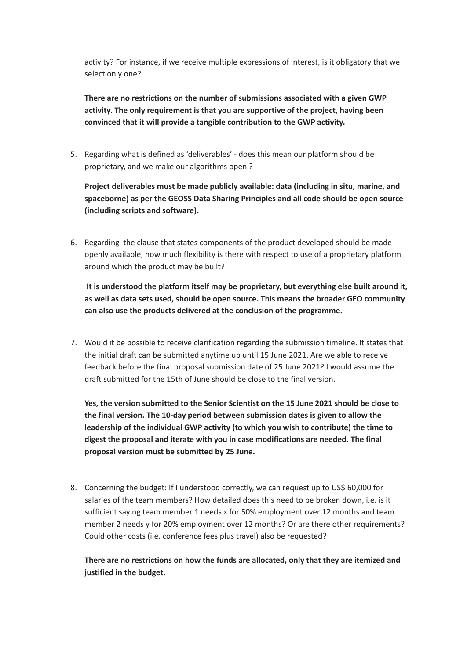activity? For instance, if we receive multiple expressions of interest, is it obligatory that we select only one?

**There are no restrictions on the number of submissions associated with a given GWP activity. The only requirement is that you are supportive of the project, having been convinced that it will provide a tangible contribution to the GWP activity.**

5. Regarding what is defined as 'deliverables' - does this mean our platform should be proprietary, and we make our algorithms open ?

**Project deliverables must be made publicly available: data (including in situ, marine, and spaceborne) as per the GEOSS Data Sharing Principles and all code should be open source (including scripts and software).**

6. Regarding the clause that states components of the product developed should be made openly available, how much flexibility is there with respect to use of a proprietary platform around which the product may be built?

**It is understood the platform itself may be proprietary, but everything else built around it, as well as data sets used, should be open source. This means the broader GEO community can also use the products delivered at the conclusion of the programme.**

7. Would it be possible to receive clarification regarding the submission timeline. It states that the initial draft can be submitted anytime up until 15 June 2021. Are we able to receive feedback before the final proposal submission date of 25 June 2021? I would assume the draft submitted for the 15th of June should be close to the final version.

**Yes, the version submitted to the Senior Scientist on the 15 June 2021 should be close to the final version. The 10-day period between submission dates is given to allow the leadership of the individual GWP activity (to which you wish to contribute) the time to digest the proposal and iterate with you in case modifications are needed. The final proposal version must be submitted by 25 June.**

8. Concerning the budget: If I understood correctly, we can request up to US\$ 60,000 for salaries of the team members? How detailed does this need to be broken down, i.e. is it sufficient saying team member 1 needs x for 50% employment over 12 months and team member 2 needs y for 20% employment over 12 months? Or are there other requirements? Could other costs (i.e. conference fees plus travel) also be requested?

**There are no restrictions on how the funds are allocated, only that they are itemized and justified in the budget.**